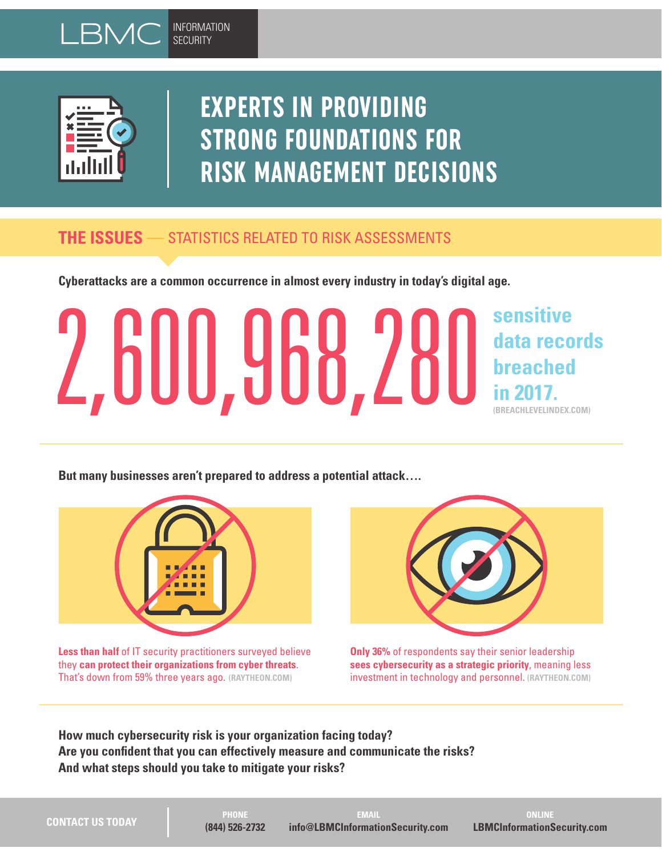



# **EXPERTS IN PROVIDING STRONG FOUNDATIONS FOR RISK MANAGEMENT DECISIONS**

### **THE ISSUES —** STATISTICS RELATED TO RISK ASSESSMENTS

**Cyberattacks are a common occurrence in almost every industry in today's digital age.** 

# **sensitive data records breached in 2017. (BREACHLEVELINDEX.COM)** 2,600,968,280

**But many businesses aren't prepared to address a potential attack….** 



**Less than half** of IT security practitioners surveyed believe they **can protect their organizations from cyber threats**. That's down from 59% three years ago. **(RAYTHEON.COM)** 



**Only 36%** of respondents say their senior leadership **sees cybersecurity as a strategic priority**, meaning less investment in technology and personnel. **(RAYTHEON.COM)** 

**How much cybersecurity risk is your organization facing today? Are you confident that you can effectively measure and communicate the risks? And what steps should you take to mitigate your risks?**

| <b>CONTACT US TODAY</b> |  |  |
|-------------------------|--|--|

**PHONE (844) 526-2732**

**EMAIL info@LBMCInformationSecurity.com**

**ONLINE LBMCInformationSecurity.com**